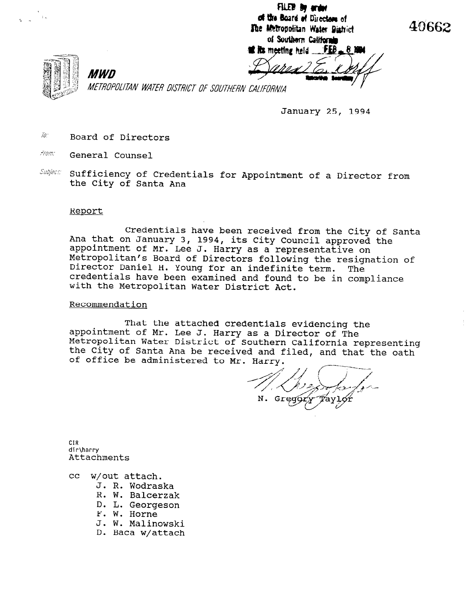FILED By arder of the Board of Directors of The Metropolitan Water District of Southern California



 $\overline{1}$ 

 $FEL$ **to its meeting held** 

METROPOLITAN WATER DISTRICT OF SOUTHERN CALIFORNIA

January 25, 1994

40662

 $\overline{10}$ . Board of Directors

MWD

From: General Counsel

 $\mathcal{S}$ ubject: Sufficiency of Credentials for Appointment of a Director from the City of Santa Ana

#### Report

Credentials have been received from the City of Santa Ana that on January 3, 1994, its City Council approved the appointment of Mr. Lee J. Harry as a representative on Metropolitan's Board of Directors following the resignation of Director Daniel H. Young for an indefinite term. The credentials have been examined and found to be in compliance with the Metropolitan Water District Act.

### Recommendation

That the attached credentials evidencing the appointment of Mr. Lee J. Harry as a Director of The Metropolitan Water District of Southern California representing the City of Santa Ana be received and filed, and that the oath of office be administered to Mr. Harry.

Grea

CIR dir\harry Attachments

- cc w/out attach. / Jul dildin.<br>T. R. V. L. L.
	- u. K. WOQrask<br>B. W. Bal
	- R. W. Balcerzak
	- D. L. Georgeson<br>F. W. Horne
	- r. w. Horne<br>T. W. W. L.
	- J. W. Malinows
	-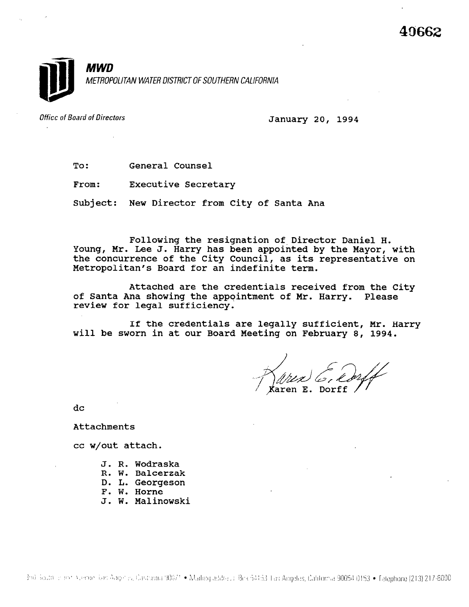

Office of Board of Directors and American control of the January 20, 1994

| To: | General Counsel |  |
|-----|-----------------|--|
|     |                 |  |

From: Executive Secretary

Subject: New Director from City of Santa Ana

Following the resignation of Director Daniel H. Young, Mr. Lee J. Harry has been appointed by the Mayor, with the concurrence of the City Council, as its representative on Metropolitan's Board for an indefinite term.

Attached are the credentials received from the City of Santa Ana showing the appointment of Mr. Harry. Please review for legal sufficiency.

If the credentials are legally sufficient, Mr. Harry will be sworn in at our Board Meeting on February 8, 1994.

aren E. Dorff

dc

#### Attachments

cc w/out attach.

- J. R. Wodraska
- R. W. Balcerzak R. W. Baicerza<br>D. T. Georgeson
- F. W. Horne
- 
- J. W. Malinowski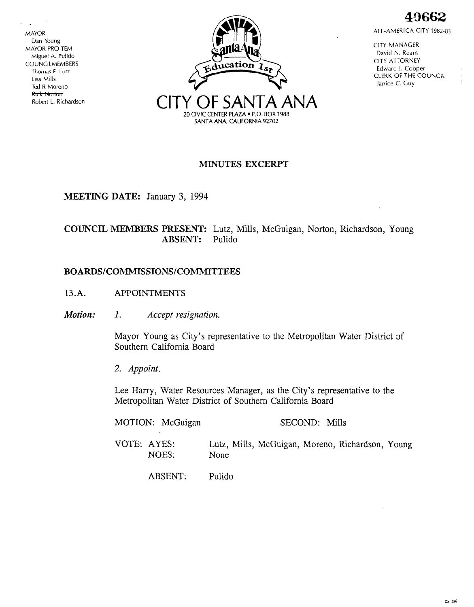MAYOR Dan Young MAYOR PRO TEM Miguel A. Pulido COUNCILMEMBERS Thomas E. Lutz Lisa Mills Ted R Moreno



ALL-AMERICA CITY 1982-83

49662

CITY MANAGER David N. Ream CITY ATTORNEY Edward J. Cooper CLERK OF THE COUNCIL Janice C. Guy

### MINUTES EXCERPT

MEETING DATE: January 3, 1994

# COUNCIL MEMBERS PRESENT: Lutz, Mills, McGuigan, Norton, Richardson, Young ABSENT: Pulido

### BOARDS/COMMISSIONS/COMMITTEES

- 13.A. APPOINTMENTS
- Motion: 1. Accept resignation.

Mayor Young as City's representative to the Metropolitan Water District of Southern California Board

2. Appoint.

Lee Harry, Water Resources Manager, as the City's representative to the Metropolitan Water District of Southern California Board

| MOTION: McGuigan | SECOND: Mills                                    |
|------------------|--------------------------------------------------|
| VOTE: AYES:      | Lutz, Mills, McGuigan, Moreno, Richardson, Young |
| NOES:            | None                                             |

ABSENT: Pulido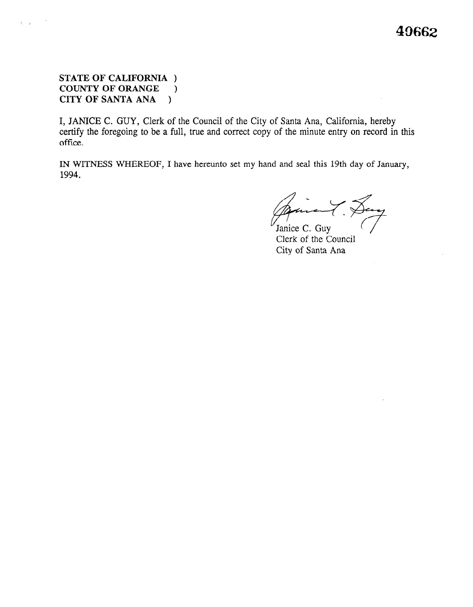## STATE OF CALIFORNIA ) COUNTY OF ORANGE ) CITY OF SANTA ANA )

I, JANICE C. GUY, Clerk of the Council of the City of Santa Ana, California, hereby certify the foregoing to be a full, true and correct copy of the minute entry on record in this office.

IN WITNESS WHEREOF, I have hereunto set my hand and seal this 19th day of January, 1994.

Janice C. Guy<br>Clerk of the Council City of Santa Ana